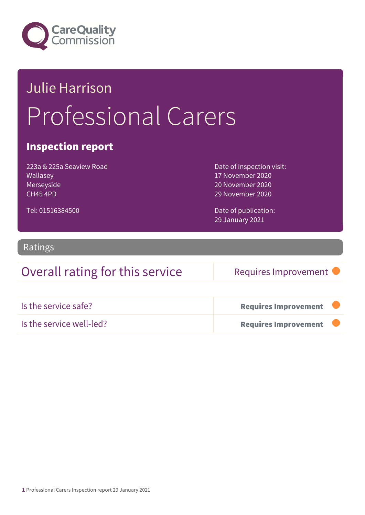

# Julie Harrison Professional Carers

## Inspection report

223a & 225a Seaview Road Wallasey Merseyside CH45 4PD

Tel: 01516384500

Date of inspection visit: 17 November 2020 20 November 2020 29 November 2020

Date of publication: 29 January 2021

## Ratings

## Overall rating for this service Requires Improvement

| Is the service safe?     | <b>Requires Improvement</b> |  |
|--------------------------|-----------------------------|--|
| Is the service well-led? | <b>Requires Improvement</b> |  |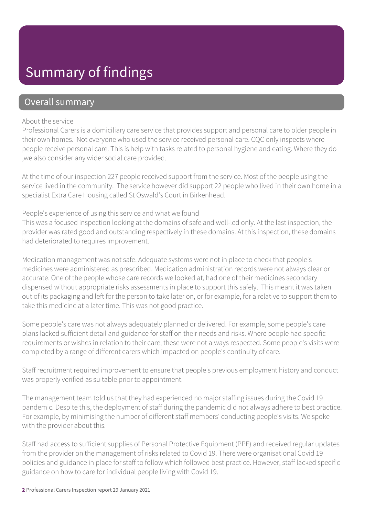# Summary of findings

## Overall summary

#### About the service

Professional Carers is a domiciliary care service that provides support and personal care to older people in their own homes. Not everyone who used the service received personal care. CQC only inspects where people receive personal care. This is help with tasks related to personal hygiene and eating. Where they do ,we also consider any wider social care provided.

At the time of our inspection 227 people received support from the service. Most of the people using the service lived in the community. The service however did support 22 people who lived in their own home in a specialist Extra Care Housing called St Oswald's Court in Birkenhead.

## People's experience of using this service and what we found

This was a focused inspection looking at the domains of safe and well-led only. At the last inspection, the provider was rated good and outstanding respectively in these domains. At this inspection, these domains had deteriorated to requires improvement.

Medication management was not safe. Adequate systems were not in place to check that people's medicines were administered as prescribed. Medication administration records were not always clear or accurate. One of the people whose care records we looked at, had one of their medicines secondary dispensed without appropriate risks assessments in place to support this safely. This meant it was taken out of its packaging and left for the person to take later on, or for example, for a relative to support them to take this medicine at a later time. This was not good practice.

Some people's care was not always adequately planned or delivered. For example, some people's care plans lacked sufficient detail and guidance for staff on their needs and risks. Where people had specific requirements or wishes in relation to their care, these were not always respected. Some people's visits were completed by a range of different carers which impacted on people's continuity of care.

Staff recruitment required improvement to ensure that people's previous employment history and conduct was properly verified as suitable prior to appointment.

The management team told us that they had experienced no major staffing issues during the Covid 19 pandemic. Despite this, the deployment of staff during the pandemic did not always adhere to best practice. For example, by minimising the number of different staff members' conducting people's visits. We spoke with the provider about this.

Staff had access to sufficient supplies of Personal Protective Equipment (PPE) and received regular updates from the provider on the management of risks related to Covid 19. There were organisational Covid 19 policies and guidance in place for staff to follow which followed best practice. However, staff lacked specific guidance on how to care for individual people living with Covid 19.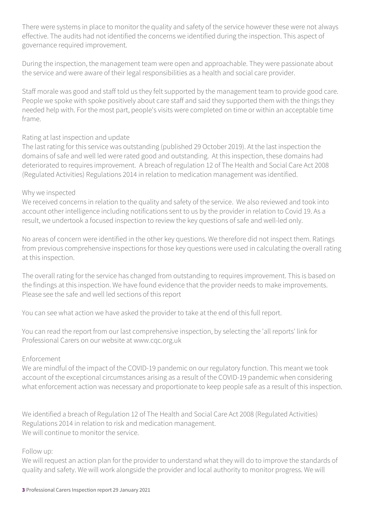There were systems in place to monitor the quality and safety of the service however these were not always effective. The audits had not identified the concerns we identified during the inspection. This aspect of governance required improvement.

During the inspection, the management team were open and approachable. They were passionate about the service and were aware of their legal responsibilities as a health and social care provider.

Staff morale was good and staff told us they felt supported by the management team to provide good care. People we spoke with spoke positively about care staff and said they supported them with the things they needed help with. For the most part, people's visits were completed on time or within an acceptable time frame.

## Rating at last inspection and update

The last rating for this service was outstanding (published 29 October 2019). At the last inspection the domains of safe and well led were rated good and outstanding. At this inspection, these domains had deteriorated to requires improvement. A breach of regulation 12 of The Health and Social Care Act 2008 (Regulated Activities) Regulations 2014 in relation to medication management was identified.

## Why we inspected

We received concerns in relation to the quality and safety of the service. We also reviewed and took into account other intelligence including notifications sent to us by the provider in relation to Covid 19. As a result, we undertook a focused inspection to review the key questions of safe and well-led only.

No areas of concern were identified in the other key questions. We therefore did not inspect them. Ratings from previous comprehensive inspections for those key questions were used in calculating the overall rating at this inspection.

The overall rating for the service has changed from outstanding to requires improvement. This is based on the findings at this inspection. We have found evidence that the provider needs to make improvements. Please see the safe and well led sections of this report

You can see what action we have asked the provider to take at the end of this full report.

You can read the report from our last comprehensive inspection, by selecting the 'all reports' link for Professional Carers on our website at www.cqc.org.uk

#### Enforcement

We are mindful of the impact of the COVID-19 pandemic on our regulatory function. This meant we took account of the exceptional circumstances arising as a result of the COVID-19 pandemic when considering what enforcement action was necessary and proportionate to keep people safe as a result of this inspection.

We identified a breach of Regulation 12 of The Health and Social Care Act 2008 (Regulated Activities) Regulations 2014 in relation to risk and medication management. We will continue to monitor the service.

#### Follow up:

We will request an action plan for the provider to understand what they will do to improve the standards of quality and safety. We will work alongside the provider and local authority to monitor progress. We will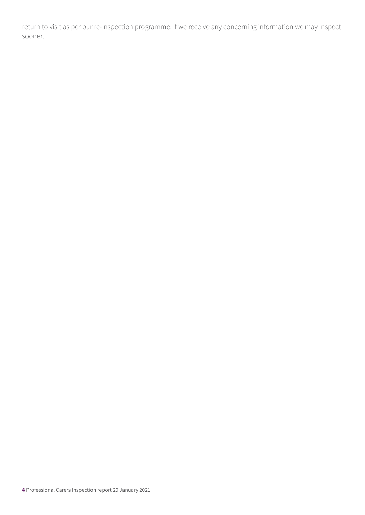return to visit as per our re-inspection programme. If we receive any concerning information we may inspect sooner.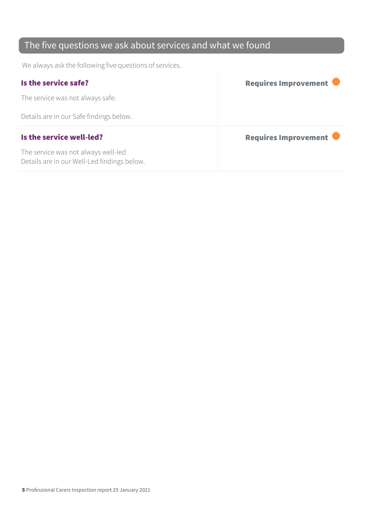## The five questions we ask about services and what we found

We always ask the following five questions of services.

| Is the service safe?                    | Requires Improvement |
|-----------------------------------------|----------------------|
| The service was not always safe.        |                      |
| Details are in our Safe findings below. |                      |
| Is the service well-led?                | Requires Improvement |
|                                         |                      |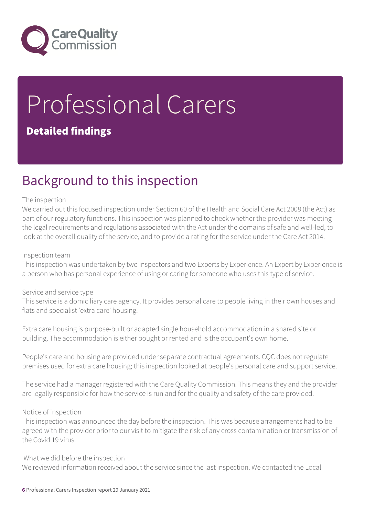

# Professional Carers

## Detailed findings

# Background to this inspection

## The inspection

We carried out this focused inspection under Section 60 of the Health and Social Care Act 2008 (the Act) as part of our regulatory functions. This inspection was planned to check whether the provider was meeting the legal requirements and regulations associated with the Act under the domains of safe and well-led, to look at the overall quality of the service, and to provide a rating for the service under the Care Act 2014.

#### Inspection team

This inspection was undertaken by two inspectors and two Experts by Experience. An Expert by Experience is a person who has personal experience of using or caring for someone who uses this type of service.

#### Service and service type

This service is a domiciliary care agency. It provides personal care to people living in their own houses and flats and specialist 'extra care' housing.

Extra care housing is purpose-built or adapted single household accommodation in a shared site or building. The accommodation is either bought or rented and is the occupant's own home.

People's care and housing are provided under separate contractual agreements. CQC does not regulate premises used for extra care housing; this inspection looked at people's personal care and support service.

The service had a manager registered with the Care Quality Commission. This means they and the provider are legally responsible for how the service is run and for the quality and safety of the care provided.

#### Notice of inspection

This inspection was announced the day before the inspection. This was because arrangements had to be agreed with the provider prior to our visit to mitigate the risk of any cross contamination or transmission of the Covid 19 virus.

 What we did before the inspection We reviewed information received about the service since the last inspection. We contacted the Local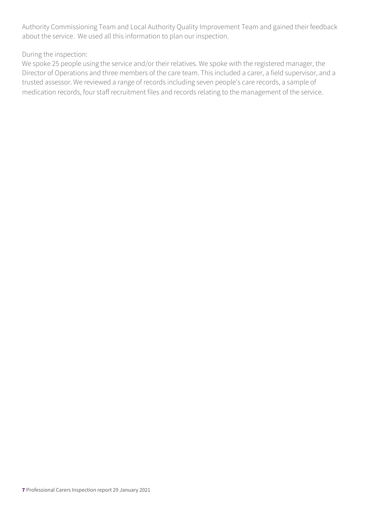Authority Commissioning Team and Local Authority Quality Improvement Team and gained their feedback about the service. We used all this information to plan our inspection.

## During the inspection:

We spoke 25 people using the service and/or their relatives. We spoke with the registered manager, the Director of Operations and three members of the care team. This included a carer, a field supervisor, and a trusted assessor. We reviewed a range of records including seven people's care records, a sample of medication records, four staff recruitment files and records relating to the management of the service.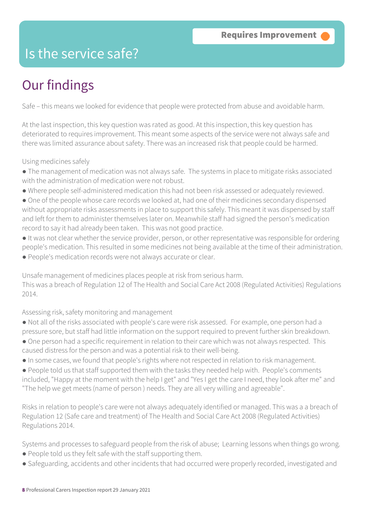# Is the service safe?

# Our findings

Safe – this means we looked for evidence that people were protected from abuse and avoidable harm.

At the last inspection, this key question was rated as good. At this inspection, this key question has deteriorated to requires improvement. This meant some aspects of the service were not always safe and there was limited assurance about safety. There was an increased risk that people could be harmed.

Using medicines safely

- The management of medication was not always safe. The systems in place to mitigate risks associated with the administration of medication were not robust.
- Where people self-administered medication this had not been risk assessed or adequately reviewed.
- One of the people whose care records we looked at, had one of their medicines secondary dispensed without appropriate risks assessments in place to support this safely. This meant it was dispensed by staff and left for them to administer themselves later on. Meanwhile staff had signed the person's medication record to say it had already been taken. This was not good practice.
- It was not clear whether the service provider, person, or other representative was responsible for ordering people's medication. This resulted in some medicines not being available at the time of their administration.
- People's medication records were not always accurate or clear.

Unsafe management of medicines places people at risk from serious harm.

This was a breach of Regulation 12 of The Health and Social Care Act 2008 (Regulated Activities) Regulations 2014.

Assessing risk, safety monitoring and management

- Not all of the risks associated with people's care were risk assessed. For example, one person had a pressure sore, but staff had little information on the support required to prevent further skin breakdown.
- One person had a specific requirement in relation to their care which was not always respected. This caused distress for the person and was a potential risk to their well-being.
- In some cases, we found that people's rights where not respected in relation to risk management.
- People told us that staff supported them with the tasks they needed help with. People's comments included, "Happy at the moment with the help I get" and "Yes I get the care I need, they look after me" and "The help we get meets (name of person ) needs. They are all very willing and agreeable".

Risks in relation to people's care were not always adequately identified or managed. This was a a breach of Regulation 12 (Safe care and treatment) of The Health and Social Care Act 2008 (Regulated Activities) Regulations 2014.

Systems and processes to safeguard people from the risk of abuse; Learning lessons when things go wrong.

- People told us they felt safe with the staff supporting them.
- Safeguarding, accidents and other incidents that had occurred were properly recorded, investigated and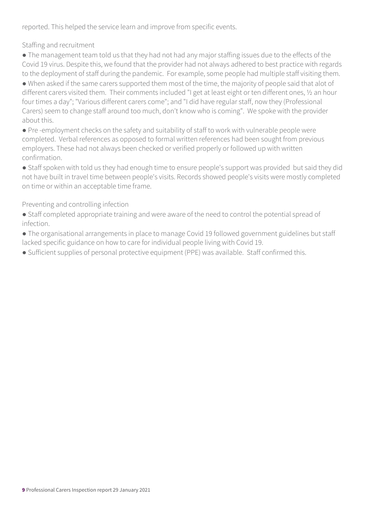reported. This helped the service learn and improve from specific events.

Staffing and recruitment

● The management team told us that they had not had any major staffing issues due to the effects of the Covid 19 virus. Despite this, we found that the provider had not always adhered to best practice with regards to the deployment of staff during the pandemic. For example, some people had multiple staff visiting them. ● When asked if the same carers supported them most of the time, the majority of people said that alot of different carers visited them. Their comments included "I get at least eight or ten different ones, ½ an hour four times a day"; "Various different carers come"; and "I did have regular staff, now they (Professional Carers) seem to change staff around too much, don't know who is coming". We spoke with the provider about this.

● Pre -employment checks on the safety and suitability of staff to work with vulnerable people were completed. Verbal references as opposed to formal written references had been sought from previous employers. These had not always been checked or verified properly or followed up with written confirmation.

● Staff spoken with told us they had enough time to ensure people's support was provided but said they did not have built in travel time between people's visits. Records showed people's visits were mostly completed on time or within an acceptable time frame.

Preventing and controlling infection

• Staff completed appropriate training and were aware of the need to control the potential spread of infection.

● The organisational arrangements in place to manage Covid 19 followed government guidelines but staff lacked specific guidance on how to care for individual people living with Covid 19.

● Sufficient supplies of personal protective equipment (PPE) was available. Staff confirmed this.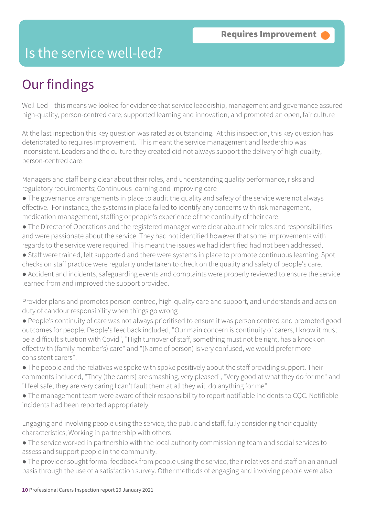## Is the service well-led?

# Our findings

Well-Led – this means we looked for evidence that service leadership, management and governance assured high-quality, person-centred care; supported learning and innovation; and promoted an open, fair culture

At the last inspection this key question was rated as outstanding. At this inspection, this key question has deteriorated to requires improvement. This meant the service management and leadership was inconsistent. Leaders and the culture they created did not always support the delivery of high-quality, person-centred care.

Managers and staff being clear about their roles, and understanding quality performance, risks and regulatory requirements; Continuous learning and improving care

- The governance arrangements in place to audit the quality and safety of the service were not always effective. For instance, the systems in place failed to identify any concerns with risk management, medication management, staffing or people's experience of the continuity of their care.
- The Director of Operations and the registered manager were clear about their roles and responsibilities and were passionate about the service. They had not identified however that some improvements with regards to the service were required. This meant the issues we had identified had not been addressed.
- Staff were trained, felt supported and there were systems in place to promote continuous learning. Spot checks on staff practice were regularly undertaken to check on the quality and safety of people's care.
- Accident and incidents, safeguarding events and complaints were properly reviewed to ensure the service learned from and improved the support provided.

Provider plans and promotes person-centred, high-quality care and support, and understands and acts on duty of candour responsibility when things go wrong

- People's continuity of care was not always prioritised to ensure it was person centred and promoted good outcomes for people. People's feedback included, "Our main concern is continuity of carers, I know it must be a difficult situation with Covid", "High turnover of staff, something must not be right, has a knock on effect with (family member's) care" and "(Name of person) is very confused, we would prefer more consistent carers".
- The people and the relatives we spoke with spoke positively about the staff providing support. Their comments included, "They (the carers) are smashing, very pleased", "Very good at what they do for me" and "I feel safe, they are very caring I can't fault them at all they will do anything for me".
- The management team were aware of their responsibility to report notifiable incidents to CQC. Notifiable incidents had been reported appropriately.

Engaging and involving people using the service, the public and staff, fully considering their equality characteristics; Working in partnership with others

- The service worked in partnership with the local authority commissioning team and social services to assess and support people in the community.
- The provider sought formal feedback from people using the service, their relatives and staff on an annual basis through the use of a satisfaction survey. Other methods of engaging and involving people were also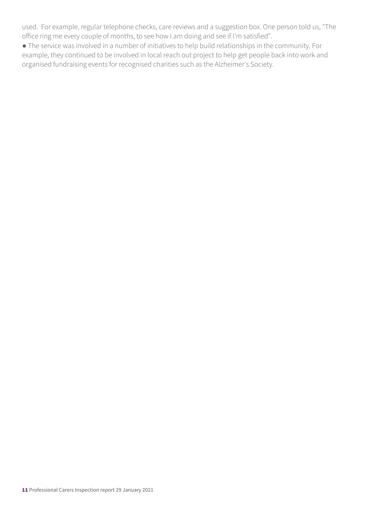used. For example, regular telephone checks, care reviews and a suggestion box. One person told us, "The office ring me every couple of months, to see how I am doing and see if I'm satisfied".

● The service was involved in a number of initiatives to help build relationships in the community. For example, they continued to be involved in local reach out project to help get people back into work and organised fundraising events for recognised charities such as the Alzheimer's Society.